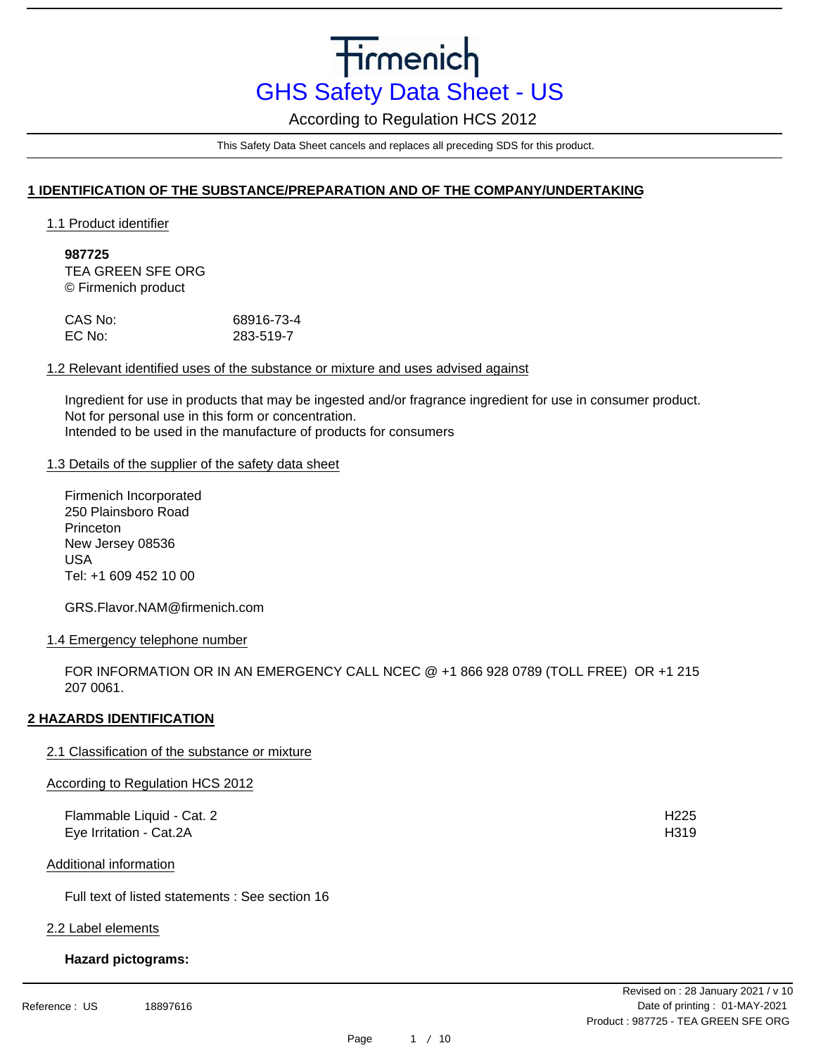According to Regulation HCS 2012

This Safety Data Sheet cancels and replaces all preceding SDS for this product.

## **1 IDENTIFICATION OF THE SUBSTANCE/PREPARATION AND OF THE COMPANY/UNDERTAKING**

1.1 Product identifier

**987725** TEA GREEN SFE ORG © Firmenich product

| CAS No: | 68916-73-4 |
|---------|------------|
| EC No:  | 283-519-7  |

## 1.2 Relevant identified uses of the substance or mixture and uses advised against

Ingredient for use in products that may be ingested and/or fragrance ingredient for use in consumer product. Not for personal use in this form or concentration. Intended to be used in the manufacture of products for consumers

#### 1.3 Details of the supplier of the safety data sheet

Firmenich Incorporated 250 Plainsboro Road Princeton New Jersey 08536 USA Tel: +1 609 452 10 00

GRS.Flavor.NAM@firmenich.com

## 1.4 Emergency telephone number

FOR INFORMATION OR IN AN EMERGENCY CALL NCEC @ +1 866 928 0789 (TOLL FREE) OR +1 215 207 0061.

## **2 HAZARDS IDENTIFICATION**

## 2.1 Classification of the substance or mixture

## According to Regulation HCS 2012

| Flammable Liquid - Cat. 2 | H <sub>225</sub> |
|---------------------------|------------------|
| Eye Irritation - Cat.2A   | H <sub>319</sub> |

Additional information

Full text of listed statements : See section 16

#### 2.2 Label elements

## **Hazard pictograms:**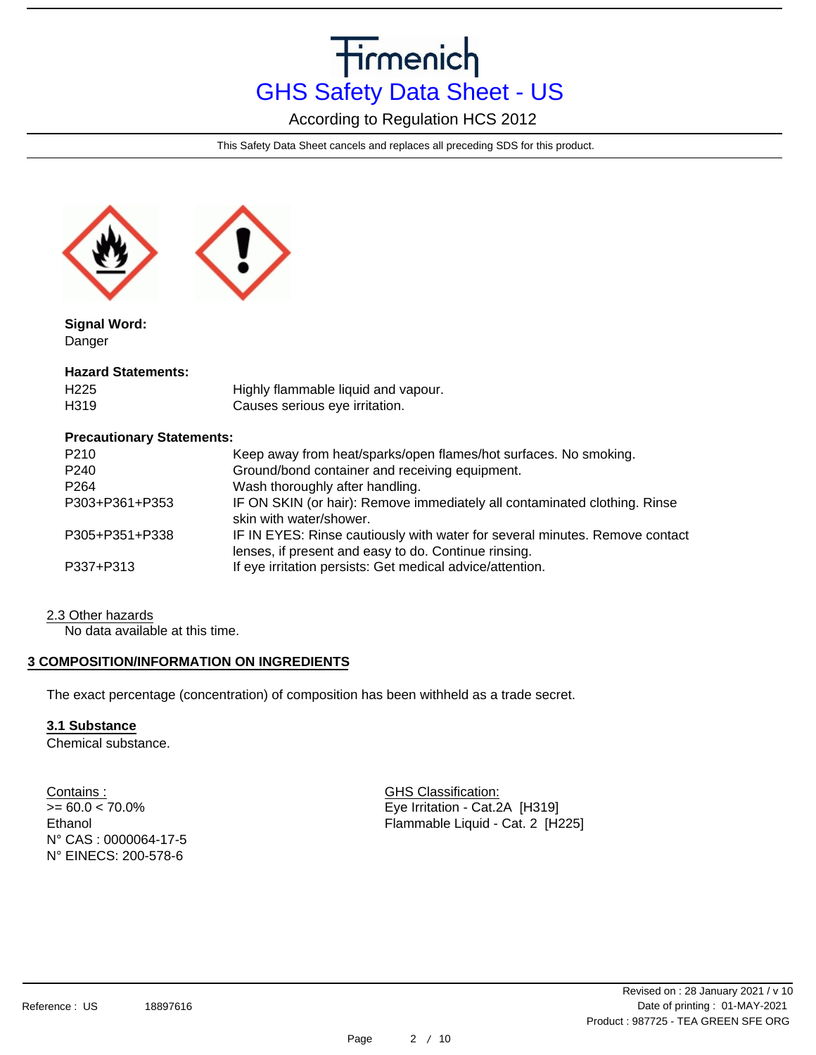According to Regulation HCS 2012

This Safety Data Sheet cancels and replaces all preceding SDS for this product.



**Signal Word:** Danger

#### **Hazard Statements:**

| H <sub>225</sub> | Highly flammable liquid and vapour. |
|------------------|-------------------------------------|
| H319             | Causes serious eye irritation.      |

## **Precautionary Statements:**

| P <sub>210</sub> | Keep away from heat/sparks/open flames/hot surfaces. No smoking.                                                                    |
|------------------|-------------------------------------------------------------------------------------------------------------------------------------|
| P <sub>240</sub> | Ground/bond container and receiving equipment.                                                                                      |
| P <sub>264</sub> | Wash thoroughly after handling.                                                                                                     |
| P303+P361+P353   | IF ON SKIN (or hair): Remove immediately all contaminated clothing. Rinse<br>skin with water/shower.                                |
| P305+P351+P338   | IF IN EYES: Rinse cautiously with water for several minutes. Remove contact<br>lenses, if present and easy to do. Continue rinsing. |
| P337+P313        | If eye irritation persists: Get medical advice/attention.                                                                           |

## 2.3 Other hazards

No data available at this time.

## **3 COMPOSITION/INFORMATION ON INGREDIENTS**

The exact percentage (concentration) of composition has been withheld as a trade secret.

## **3.1 Substance**

Chemical substance.

Contains :  $>= 60.0 < 70.0\%$ Ethanol N° CAS : 0000064-17-5 N° EINECS: 200-578-6

GHS Classification: Eye Irritation - Cat.2A [H319] Flammable Liquid - Cat. 2 [H225]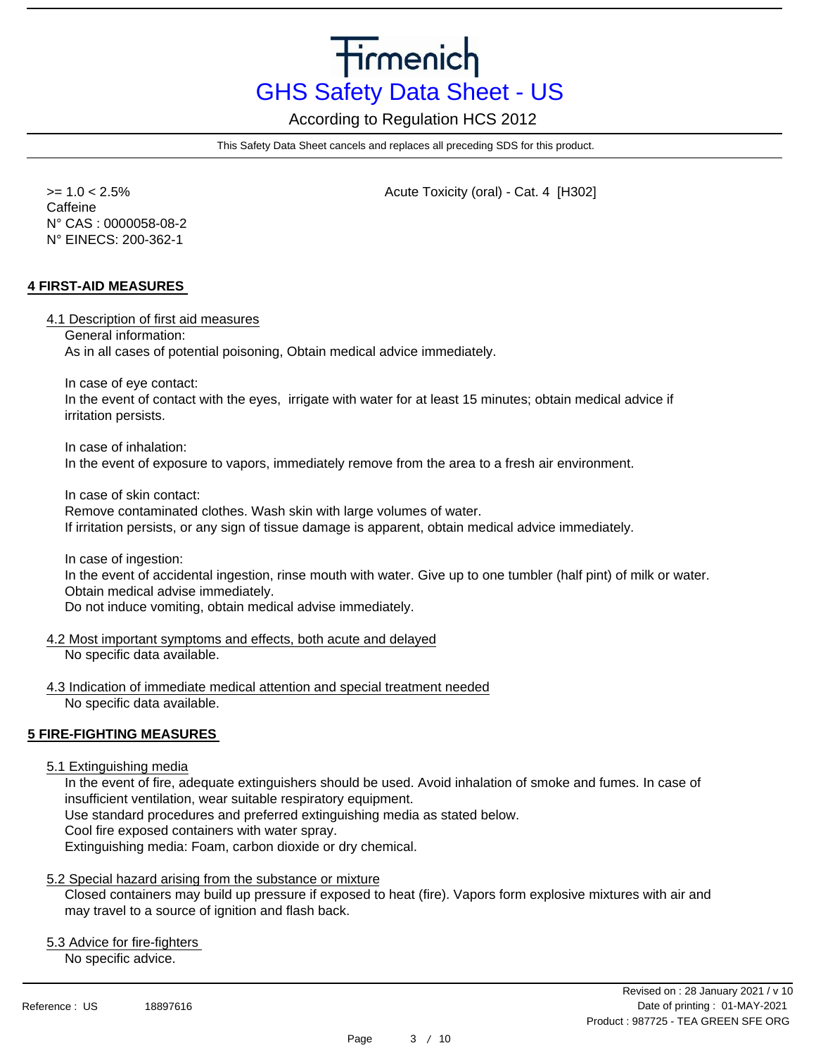According to Regulation HCS 2012

This Safety Data Sheet cancels and replaces all preceding SDS for this product.

 >= 1.0 < 2.5% Acute Toxicity (oral) - Cat. 4 [H302] **Caffeine** N° CAS : 0000058-08-2 N° EINECS: 200-362-1

## **4 FIRST-AID MEASURES**

4.1 Description of first aid measures

General information:

As in all cases of potential poisoning, Obtain medical advice immediately.

In case of eye contact:

In the event of contact with the eyes, irrigate with water for at least 15 minutes; obtain medical advice if irritation persists.

In case of inhalation:

In the event of exposure to vapors, immediately remove from the area to a fresh air environment.

In case of skin contact:

Remove contaminated clothes. Wash skin with large volumes of water.

If irritation persists, or any sign of tissue damage is apparent, obtain medical advice immediately.

In case of ingestion:

In the event of accidental ingestion, rinse mouth with water. Give up to one tumbler (half pint) of milk or water. Obtain medical advise immediately.

Do not induce vomiting, obtain medical advise immediately.

4.2 Most important symptoms and effects, both acute and delayed

No specific data available.

4.3 Indication of immediate medical attention and special treatment needed No specific data available.

## **5 FIRE-FIGHTING MEASURES**

## 5.1 Extinguishing media

In the event of fire, adequate extinguishers should be used. Avoid inhalation of smoke and fumes. In case of insufficient ventilation, wear suitable respiratory equipment.

Use standard procedures and preferred extinguishing media as stated below.

Cool fire exposed containers with water spray.

Extinguishing media: Foam, carbon dioxide or dry chemical.

## 5.2 Special hazard arising from the substance or mixture

Closed containers may build up pressure if exposed to heat (fire). Vapors form explosive mixtures with air and may travel to a source of ignition and flash back.

5.3 Advice for fire-fighters

No specific advice.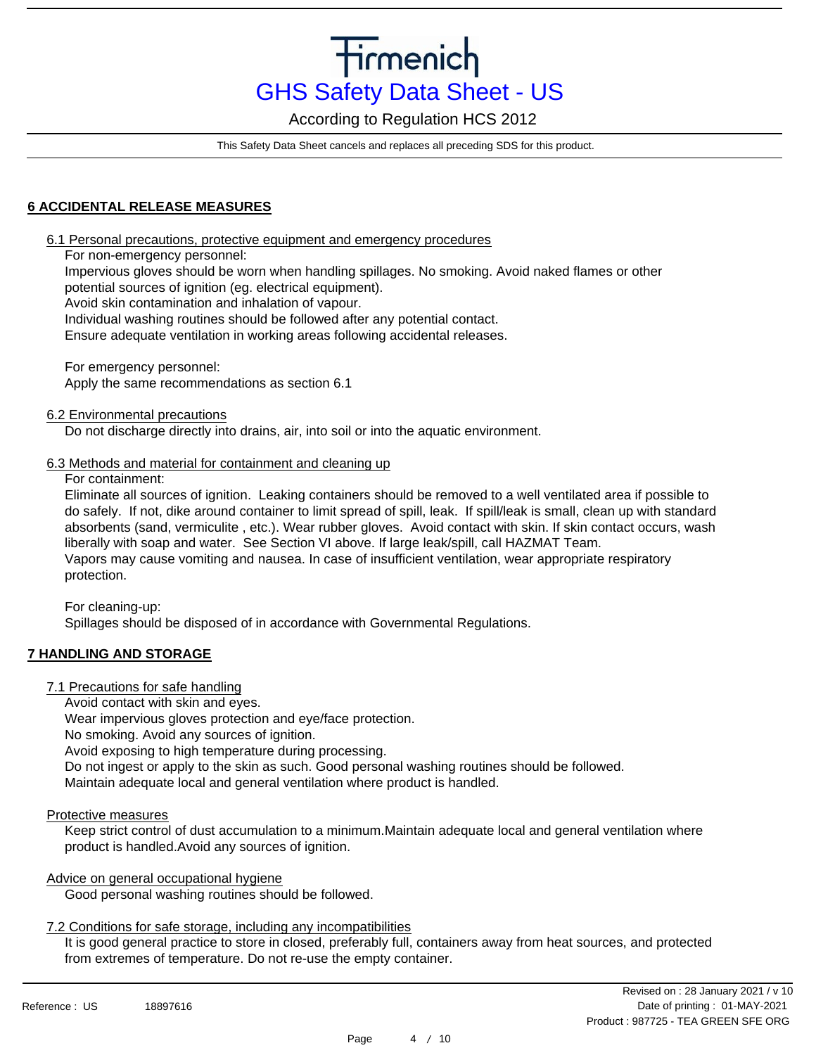According to Regulation HCS 2012

This Safety Data Sheet cancels and replaces all preceding SDS for this product.

## **6 ACCIDENTAL RELEASE MEASURES**

6.1 Personal precautions, protective equipment and emergency procedures

For non-emergency personnel:

Impervious gloves should be worn when handling spillages. No smoking. Avoid naked flames or other potential sources of ignition (eg. electrical equipment).

Avoid skin contamination and inhalation of vapour.

Individual washing routines should be followed after any potential contact.

Ensure adequate ventilation in working areas following accidental releases.

For emergency personnel: Apply the same recommendations as section 6.1

6.2 Environmental precautions

Do not discharge directly into drains, air, into soil or into the aquatic environment.

## 6.3 Methods and material for containment and cleaning up

For containment:

Eliminate all sources of ignition. Leaking containers should be removed to a well ventilated area if possible to do safely. If not, dike around container to limit spread of spill, leak. If spill/leak is small, clean up with standard absorbents (sand, vermiculite , etc.). Wear rubber gloves. Avoid contact with skin. If skin contact occurs, wash liberally with soap and water. See Section VI above. If large leak/spill, call HAZMAT Team. Vapors may cause vomiting and nausea. In case of insufficient ventilation, wear appropriate respiratory protection.

For cleaning-up:

Spillages should be disposed of in accordance with Governmental Regulations.

## **7 HANDLING AND STORAGE**

7.1 Precautions for safe handling

Avoid contact with skin and eyes.

Wear impervious gloves protection and eye/face protection.

No smoking. Avoid any sources of ignition.

Avoid exposing to high temperature during processing.

Do not ingest or apply to the skin as such. Good personal washing routines should be followed.

Maintain adequate local and general ventilation where product is handled.

## Protective measures

Keep strict control of dust accumulation to a minimum.Maintain adequate local and general ventilation where product is handled.Avoid any sources of ignition.

## Advice on general occupational hygiene

Good personal washing routines should be followed.

## 7.2 Conditions for safe storage, including any incompatibilities

It is good general practice to store in closed, preferably full, containers away from heat sources, and protected from extremes of temperature. Do not re-use the empty container.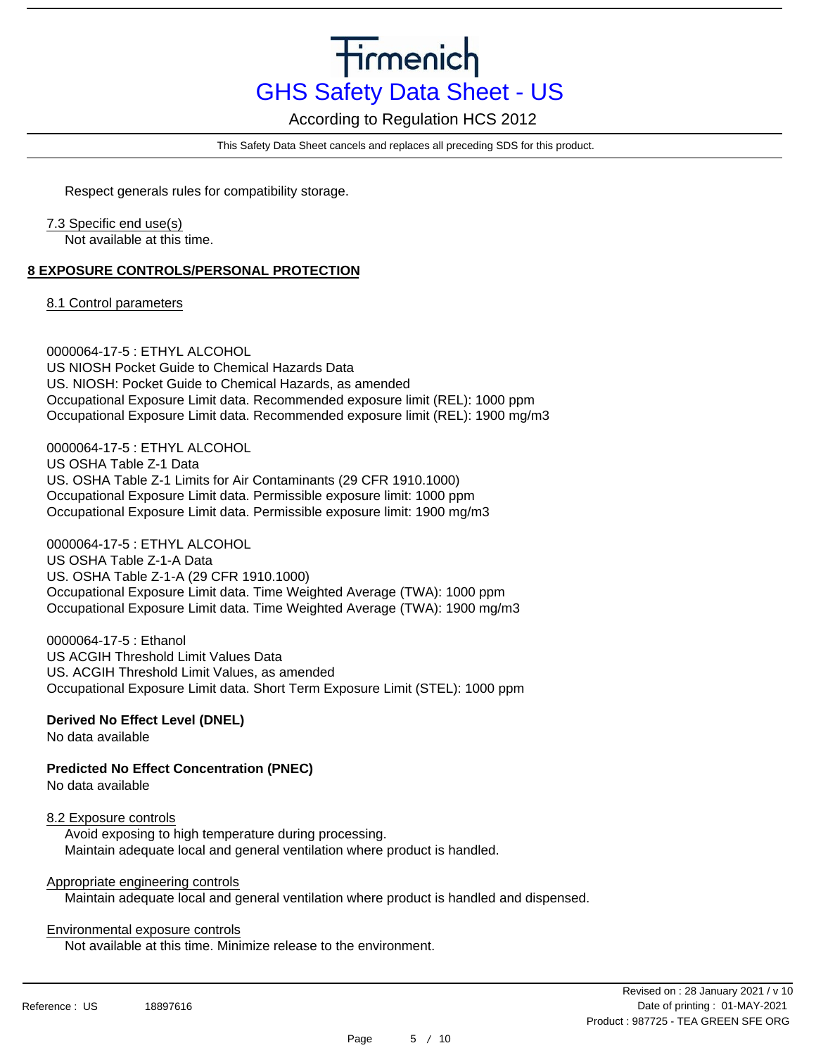According to Regulation HCS 2012

This Safety Data Sheet cancels and replaces all preceding SDS for this product.

Respect generals rules for compatibility storage.

## 7.3 Specific end use(s)

Not available at this time.

## **8 EXPOSURE CONTROLS/PERSONAL PROTECTION**

8.1 Control parameters

0000064-17-5 : ETHYL ALCOHOL US NIOSH Pocket Guide to Chemical Hazards Data US. NIOSH: Pocket Guide to Chemical Hazards, as amended Occupational Exposure Limit data. Recommended exposure limit (REL): 1000 ppm Occupational Exposure Limit data. Recommended exposure limit (REL): 1900 mg/m3

0000064-17-5 : ETHYL ALCOHOL US OSHA Table Z-1 Data US. OSHA Table Z-1 Limits for Air Contaminants (29 CFR 1910.1000) Occupational Exposure Limit data. Permissible exposure limit: 1000 ppm Occupational Exposure Limit data. Permissible exposure limit: 1900 mg/m3

0000064-17-5 : ETHYL ALCOHOL US OSHA Table Z-1-A Data US. OSHA Table Z-1-A (29 CFR 1910.1000) Occupational Exposure Limit data. Time Weighted Average (TWA): 1000 ppm Occupational Exposure Limit data. Time Weighted Average (TWA): 1900 mg/m3

0000064-17-5 : Ethanol US ACGIH Threshold Limit Values Data US. ACGIH Threshold Limit Values, as amended Occupational Exposure Limit data. Short Term Exposure Limit (STEL): 1000 ppm

## **Derived No Effect Level (DNEL)**

No data available

**Predicted No Effect Concentration (PNEC)**

No data available

## 8.2 Exposure controls

Avoid exposing to high temperature during processing. Maintain adequate local and general ventilation where product is handled.

## Appropriate engineering controls

Maintain adequate local and general ventilation where product is handled and dispensed.

## Environmental exposure controls

Not available at this time. Minimize release to the environment.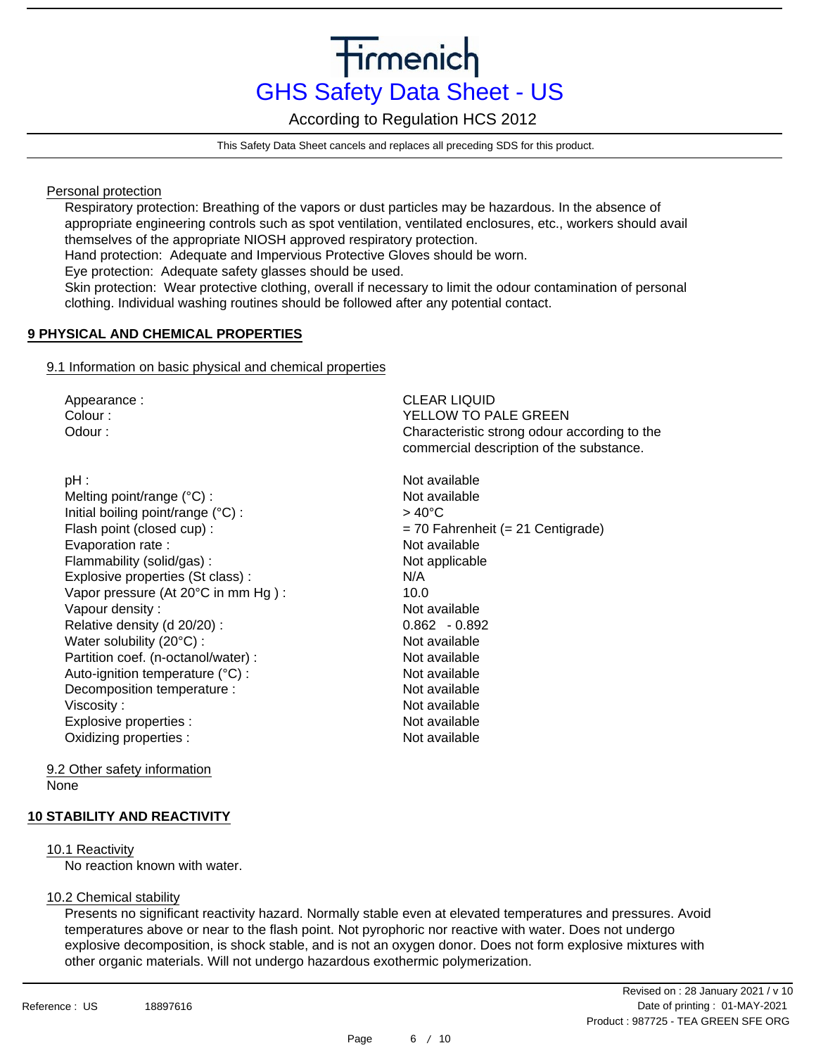According to Regulation HCS 2012

This Safety Data Sheet cancels and replaces all preceding SDS for this product.

Personal protection

Respiratory protection: Breathing of the vapors or dust particles may be hazardous. In the absence of appropriate engineering controls such as spot ventilation, ventilated enclosures, etc., workers should avail themselves of the appropriate NIOSH approved respiratory protection.

Hand protection: Adequate and Impervious Protective Gloves should be worn.

Eye protection: Adequate safety glasses should be used.

Skin protection: Wear protective clothing, overall if necessary to limit the odour contamination of personal clothing. Individual washing routines should be followed after any potential contact.

## **9 PHYSICAL AND CHEMICAL PROPERTIES**

## 9.1 Information on basic physical and chemical properties

Appearance : Colour : Odour :

pH : Melting point/range (°C) : Initial boiling point/range (°C) : Flash point (closed cup) : Evaporation rate : Flammability (solid/gas) : Explosive properties (St class) : Vapor pressure (At 20°C in mm Hg ) : Vapour density : Relative density (d 20/20) : Water solubility (20°C) : Partition coef. (n-octanol/water) : Auto-ignition temperature (°C) : Decomposition temperature : Viscosity : Explosive properties : Oxidizing properties :

CLEAR LIQUID YELLOW TO PALE GREEN Characteristic strong odour according to the commercial description of the substance.

Not available Not available  $> 40^{\circ}$ C = 70 Fahrenheit (= 21 Centigrade) Not available Not applicable N/A 10.0 Not available 0.862 - 0.892 Not available Not available Not available Not available Not available Not available Not available

9.2 Other safety information None

## **10 STABILITY AND REACTIVITY**

## 10.1 Reactivity

No reaction known with water.

## 10.2 Chemical stability

Presents no significant reactivity hazard. Normally stable even at elevated temperatures and pressures. Avoid temperatures above or near to the flash point. Not pyrophoric nor reactive with water. Does not undergo explosive decomposition, is shock stable, and is not an oxygen donor. Does not form explosive mixtures with other organic materials. Will not undergo hazardous exothermic polymerization.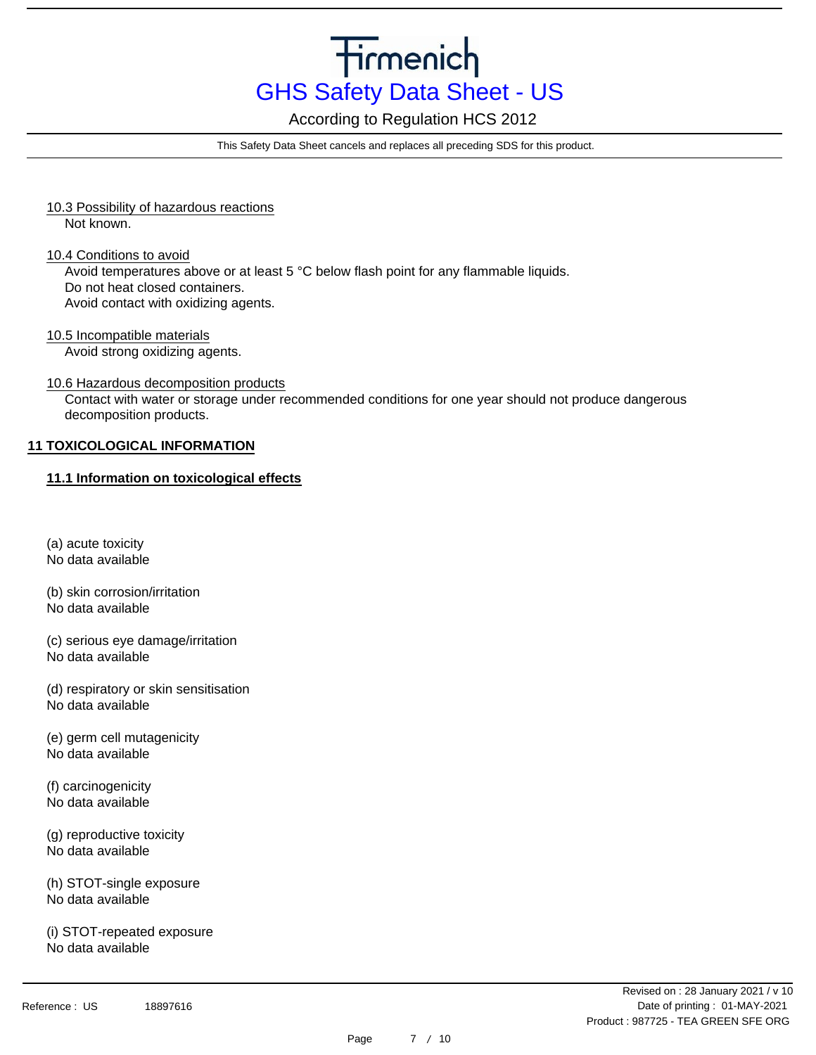According to Regulation HCS 2012

This Safety Data Sheet cancels and replaces all preceding SDS for this product.

- 10.3 Possibility of hazardous reactions Not known.
- 10.4 Conditions to avoid Avoid temperatures above or at least 5 °C below flash point for any flammable liquids. Do not heat closed containers. Avoid contact with oxidizing agents.
- 10.5 Incompatible materials Avoid strong oxidizing agents.
- 10.6 Hazardous decomposition products

Contact with water or storage under recommended conditions for one year should not produce dangerous decomposition products.

## **11 TOXICOLOGICAL INFORMATION**

## **11.1 Information on toxicological effects**

- (a) acute toxicity No data available
- (b) skin corrosion/irritation
- No data available
- (c) serious eye damage/irritation No data available
- (d) respiratory or skin sensitisation No data available
- (e) germ cell mutagenicity No data available
- (f) carcinogenicity No data available
- (g) reproductive toxicity No data available
- (h) STOT-single exposure No data available
- (i) STOT-repeated exposure No data available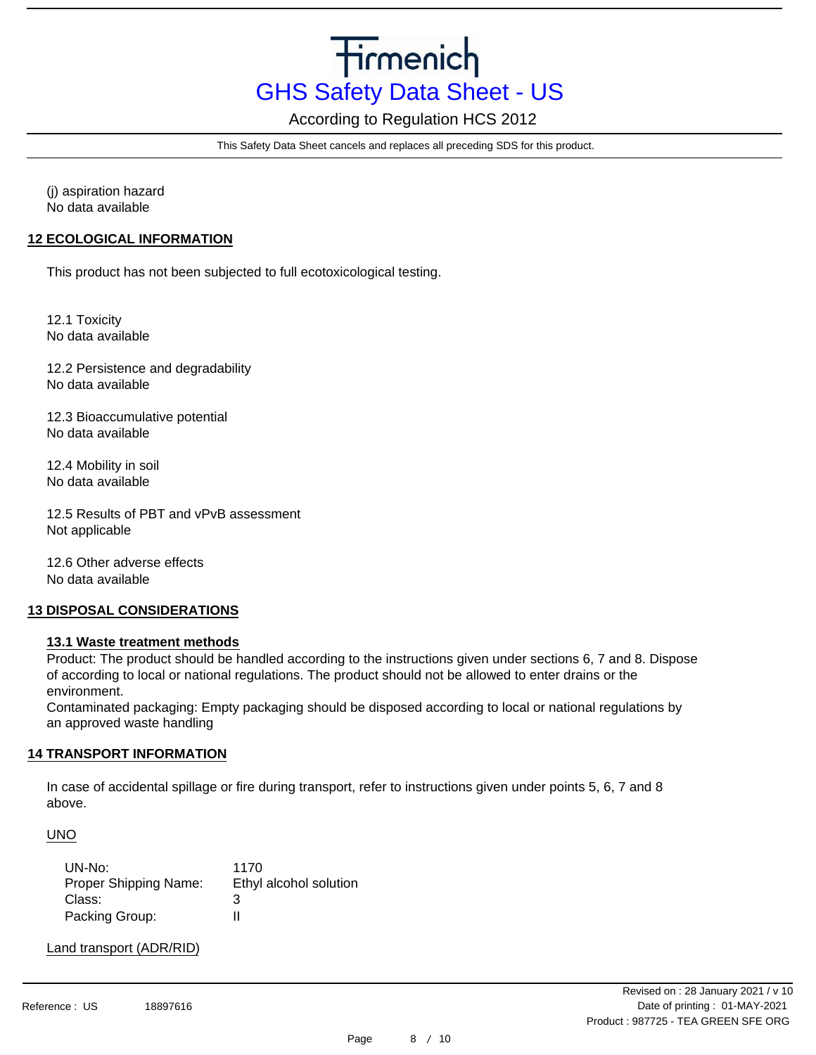According to Regulation HCS 2012

This Safety Data Sheet cancels and replaces all preceding SDS for this product.

(j) aspiration hazard No data available

## **12 ECOLOGICAL INFORMATION**

This product has not been subjected to full ecotoxicological testing.

12.1 Toxicity No data available

12.2 Persistence and degradability No data available

12.3 Bioaccumulative potential No data available

12.4 Mobility in soil No data available

12.5 Results of PBT and vPvB assessment Not applicable

12.6 Other adverse effects No data available

## **13 DISPOSAL CONSIDERATIONS**

## **13.1 Waste treatment methods**

Product: The product should be handled according to the instructions given under sections 6, 7 and 8. Dispose of according to local or national regulations. The product should not be allowed to enter drains or the environment.

Contaminated packaging: Empty packaging should be disposed according to local or national regulations by an approved waste handling

## **14 TRANSPORT INFORMATION**

In case of accidental spillage or fire during transport, refer to instructions given under points 5, 6, 7 and 8 above.

UNO

| UN-No:                       | 1170                   |
|------------------------------|------------------------|
| <b>Proper Shipping Name:</b> | Ethyl alcohol solution |
| Class:                       | З                      |
| Packing Group:               | н                      |

Land transport (ADR/RID)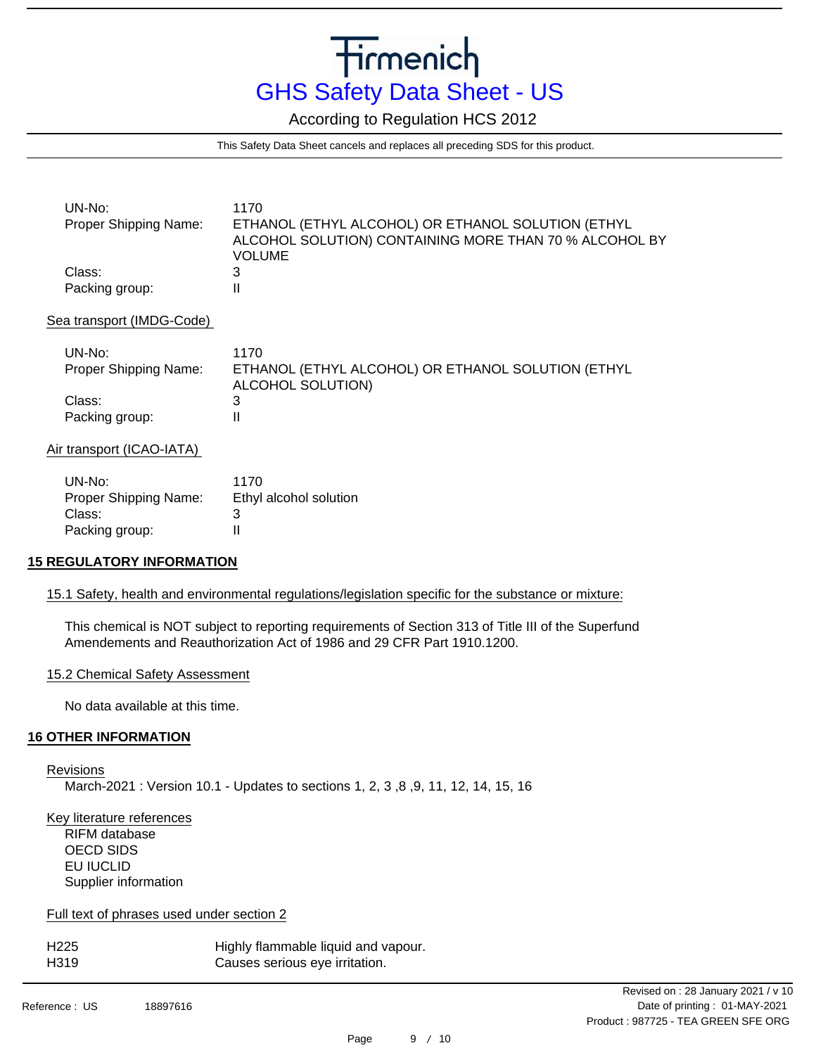According to Regulation HCS 2012

This Safety Data Sheet cancels and replaces all preceding SDS for this product.

| UN-No:<br>Proper Shipping Name: | 1170<br>ETHANOL (ETHYL ALCOHOL) OR ETHANOL SOLUTION (ETHYL<br>ALCOHOL SOLUTION) CONTAINING MORE THAN 70 % ALCOHOL BY<br>VOLUME |
|---------------------------------|--------------------------------------------------------------------------------------------------------------------------------|
| Class:<br>Packing group:        | 3                                                                                                                              |

#### Sea transport (IMDG-Code)

| UN-No:<br><b>Proper Shipping Name:</b> | 1170<br>ETHANOL (ETHYL ALCOHOL) OR ETHANOL SOLUTION (ETHYL<br>ALCOHOL SOLUTION) |
|----------------------------------------|---------------------------------------------------------------------------------|
| Class:                                 |                                                                                 |
| Packing group:                         |                                                                                 |

## Air transport (ICAO-IATA)

| UN-No:                | 1170                   |
|-----------------------|------------------------|
| Proper Shipping Name: | Ethyl alcohol solution |
| Class:                | З                      |
| Packing group:        | н                      |

## **15 REGULATORY INFORMATION**

## 15.1 Safety, health and environmental regulations/legislation specific for the substance or mixture:

This chemical is NOT subject to reporting requirements of Section 313 of Title III of the Superfund Amendements and Reauthorization Act of 1986 and 29 CFR Part 1910.1200.

## 15.2 Chemical Safety Assessment

No data available at this time.

## **16 OTHER INFORMATION**

Revisions March-2021 : Version 10.1 - Updates to sections 1, 2, 3 ,8 ,9, 11, 12, 14, 15, 16

Key literature references RIFM database OECD SIDS EU IUCLID Supplier information

## Full text of phrases used under section 2

| H225 | Highly flammable liquid and vapour. |
|------|-------------------------------------|
| H319 | Causes serious eye irritation.      |